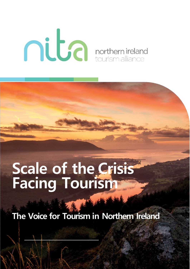# **OURIER SERVICE CONTRACTED**

## **Scale of the Crisis Facing Tourism**

**The Voice for Tourism in Northern Ireland**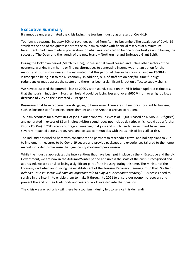#### **Executive Summary**

It cannot be underestimated the crisis facing the tourism industry as a result of Covid-19.

Tourism is a seasonal industry 60% of revenues earned from April to November. The escalation of Covid-19 struck at the end of the quietest part of the tourism calendar with financial reserves at a minimum. Investments had been made in preparation for what was predicted to be one of our best years following the success of The Open and the launch of the new brand – Northern Ireland Embrace a Giant Spirit.

During the lockdown period (March to June), non-essential travel ceased and unlike other sectors of the economy, working from home or finding alternatives to generating income was not an option for the majority of tourism businesses. It is estimated that this period of closure has resulted in **over £300M** in visitor spend being lost to the NI economy. In addition, 80% of staff are on part/full time furlough, redundancies made across the sector and there has been a significant knock on effect to supply chains.

We have calculated the potential loss to 2020 visitor spend, based on the Visit Britain updated estimates, that the tourism industry in Northern Ireland could be facing losses of over **£600M** from overnight trips, a **decrease of 70%** on the estimated 2019 spend.

Businesses that have reopened are struggling to break even. There are still sectors important to tourism, such as business conferencing, entertainment and the Arts that are yet to reopen.

Tourism accounts for almost 10% of jobs in our economy, in excess of 65,000 (based on NISRA 2017 figures) and generated in excess of £1bn in direct visitor spend (does not include day trips which could add a further £400 - £600m) in 2019 across our region, meaning that jobs and much needed investment have been severely impacted across urban, rural and coastal communities with thousands of jobs still at risk.

The industry has worked hard with consumers and partners to reschedule travel and holiday plans to 2021, to implement measures to be Covid-19 secure and provide packages and experiences tailored to the home markets in order to maximise the significantly shortened peak season.

While the industry appreciates the interventions that have been put in place by the NI Executive and the UK Government, we are now in the Autumn/Winter period and unless the scale of the crisis is recognised and addressed, we are at risk of losing a significant part of the industry during this time. The Minister of the Economy said when announcing the establishment of the Tourism Recovery Steering Group that '*Northern Ireland's Tourism sector will have an important role to play in our economic recovery*'. Businesses need to survive in the interim to enable them to make it through to 2021 to ensure our economic recovery and prevent the end of their livelihoods and years of work invested into their passion.

The crisis we are facing is - will there be a tourism industry left to service this demand?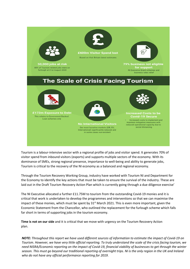

Tourism is a labour-intensive sector with a regional profile of jobs and visitor spend. It generates 70% of visitor spend from inbound visitors (exports) and supports multiple sectors of the economy. With its dominance of SMEs, strong regional presence, importance to well-being and ability to generate jobs, Tourism is critical to the recovery of the NI economy as a balanced and regional economy.

Through the Tourism Recovery Working Group, industry have worked with Tourism NI and Department for the Economy to identify the key actions that must be taken to ensure the survival of the industry. These are laid out in the Draft Tourism Recovery Action Plan which is currently going through a due diligence exercise'

The NI Executive allocated a further £11.75M to tourism from the outstanding Covid-19 monies and it is critical that work is undertaken to develop the programmes and interventions so that we can maximise the impact of these monies, which must be spent by  $31<sup>st</sup>$  March 2021. This is even more important, given the Economic Statement from the Chancellor, who outlined the replacement for the furlough scheme which falls far short in terms of supporting jobs in the tourism economy.

**Time is not on our side** and it is critical that we move with urgency on the Tourism Recovery Action plan.

*NOTE: Throughout this report we have used different sources of information to estimate the impact of Covid-19 on Tourism. However, we have very little official reporting. To truly understand the scale of the crisis facing tourism, we need NISRA/Economic reporting on the impact of Covid-19, financial viability of businesses to get through the winter season. This must go beyond our traditional reporting of overnight trips. NI is the only region in the UK and Ireland who do not have any official performance reporting for 2019.*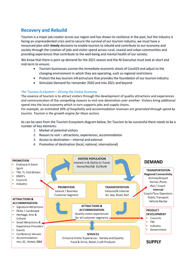#### **Recovery and Rebuild**

Tourism is a major job creator across our region and has shown its resilience in the past, but the industry is facing an unprecedented crisis and to secure the survival of our tourism industry, we must have a resourced plan with **timely** decisions to enable tourism to rebuild and contribute to our economy and society through the creation of jobs and visitor spend across rural, coastal and urban communities and providing experiences that contribute to the well-being and mental health of our society.

We know that there is pent up demand for the 2021 season and the NI Executive must look at short and mid-term to ensure:

- Tourism businesses survive the immediate economic shock of Covid19 and adjust to the changing environment in which they are operating, such as regional restrictions
- Protect the key tourism infrastructure that provides the foundation of our tourism industry
- Stimulate Demand for remainder 2020 and into 2021 and beyond

#### *The Tourism EcoSystem – Driving the Visitor Economy*

The essence of tourism is to attract visitors through the development of quality attractions and experiences and communication of the compelling reasons to visit one destination over another. Visitors bring additional spend into the local economy which in turn supports jobs and supply chains.

*For example, an estimated 30% of hospitality and accommodation revenues are generated through spend by tourists. Tourism is the growth engine for these sectors.*

As can be seen from the Tourism Ecosystem diagram below, for Tourism to be successful there needs to be a number of key elements:

- 1. Market of potential visitors
- 2. Reason to visit attractions, experiences, accommodation
- 3. Access to destination internal and external
- 4. Promotion of destination (local, national, international)

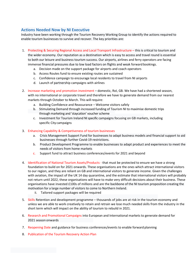#### **Actions Needed Now by NI Executive**

Industry have been working through the Tourism Recovery Working Group to identify the actions required to enable tourism businesses to survive and recover. The key priorities are:

- 1. Protecting & Securing Regional Access and Local Transport Infrastructure this is critical to tourism and the wider economy. Our reputation as a destination which is easy to access and travel round is essential to both our leisure and business tourism success. Our airports, airlines and ferry operators are facing immense financial pressures due to low load factors on flights and weak forward bookings.
	- a. Decision made on the support package for airports and coach operators
	- b. Access Routes fund to ensure existing routes are sustained
	- c. Confidence campaign to encourage local residents to travel from NI airports
	- d. Launch of partnership campaigns with airlines
- 2. Increase marketing and promotion investment domestic, RoI, GB. We have had a shortened season, with no international or corporate travel and therefore we have to generate demand from our nearest markets through October to March. This will require:
	- a. Building Confidence and Reassurance Welcome visitors safely
	- b. Stimulating Demand through increased funding of Tourism NI to maximise domestic trips through marketing and 'staycation' voucher scheme
	- c. Investment for Tourism Ireland NI specific campaigns focusing on GB markets, including specific City campaigns
- 3. Enhancing Capability & Competiveness of tourism businesses
	- a. Crisis Management Support Fund for businesses to adapt business models and financial support to aid businesses through further Covid-19 restrictions.
	- b. Product Development Programme to enable businesses to adapt product and experiences to meet the needs of visitors from home markets
	- c. Support fund to attract business conferences/events for 2021 and beyond
- 4. Identification of National Tourism Assets/Products that must be protected to ensure we have a strong foundation to build on for 2021 onwards. These organisations are the ones which attract international visitors to our region, and they are reliant on GB and international visitors to generate income. Given the challenges with aviation, the impact of the UK 14 day quarantine, and the estimate that international visitors will probably not return until 2022, these organisations will have to make very difficult decisions about their business. These organisations have invested £100s of millions and are the backbone of the NI tourism proposition creating the motivation for a large number of visitors to come to Northern Ireland.
	- ii. Tailored support packages will be required
- 5. Skills Retention and development programme thousands of jobs are at risk in the tourism economy and unless we are able to work creatively to retain and retrain we lose much needed skills from the industry in the short term which will impact on the ability of tourism to rebuild in 2021.
- 6. Research and Promotional Campaigns into European and International markets to generate demand for 2021 season onwards
- 7. Reopening Date and guidance for business conferences/events to enable forward planning
- 8. Publication of the Tourism Recovery Action Plan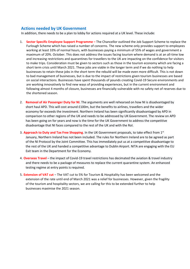#### **Actions needed by UK Government**

In addition, there needs to be a plan to lobby for actions required at a UK level. These include:

- 1. **Sector Specific Employee Support Programme –** The Chancellor outlined the Job Support Scheme to replace the Furlough Scheme which has raised a number of concerns. The new scheme only provides support to employees working at least 33% of normal hours, with businesses paying a minimum of 55% of wages and government a maximum of 20%. October. This does not address the issues facing tourism where demand is at an all-time low and increasing restrictions and quarantines for travellers to the UK are impacting on the confidence for visitors to make trips. Consideration must be given to sectors such as those in the tourism economy which are facing a short term crisis until March 2021. These jobs are viable in the longer term and if we do nothing to help businesses to retain these jobs in the short term the rebuild will be made even more difficult. This is not down to bad management of businesses, but is due to the impact of restrictions given tourism businesses are based on social interactions. Businesses have spent thousands of pounds creating Covid-19 Secure environments and are working innovatively to find new ways of providing experiences, but in the current environment and following almost 4 months of closure, businesses are financially vulnerable with no safety net of reserves due to the shortened season.
- 2. **Removal of Air Passenger Duty for NI**. The arguments are well rehearsed on how NI is disadvantaged by short haul APD. This will cost around £100m, but the benefits to airlines, travellers and the wider economy far exceeds the investment. Northern Ireland has been significantly disadvantaged by APD in comparison to other regions of the UK and needs to be addressed by UKGovernment. The review on APD has been going on for years and now is the time for the UK Government to address the competitive disadvantage that NI faces compared to the rest of the UK and with the RoI.
- 3. **Approach to Duty and Tax Free Shopping**. In the UK Government proposals, to take effect from 1st January, Northern Ireland has not been included. The rules for Northern Ireland are to be agreed as part of the NI Protocol by the Joint Committee. This has immediately put us at a competitive disadvantage to the rest of the UK and handed a competitive advantage to Dublin Airport. NITA are engaging with the EU Exit team in the Department for the Economy.
- 4. **Overseas Travel**  the impact of Covid-19 travel restrictions has decimated the aviation & travel industry and there needs to be a package of measures to replace the current quarantine system. An enhanced testing regime at entry points is required.
- 5. **Extension of VAT cut**  The VAT cut to 5% for Tourism & Hospitality has been welcomed and the extension of the rate until end of March 2021 was a relief for businesses. However, given the fragility of the tourism and hospitality sectors, we are calling for this to be extended further to help businesses maximise the 2021 season.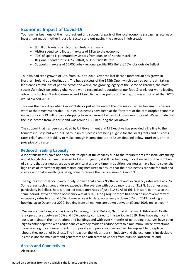#### **Economic Impact of Covid-19**

Tourism has been one of the most resilient and successful parts of the local economy surpassing returns on investment made in other industrial sectors and out-pacing the average in job creation.

- 3 million tourists visit Northern Ireland annually
- Visitor spend contributes in excess of  $£1$ bn to the economy<sup>1</sup>
- 70% of spend is generated by visitors from outside of Northern Ireland<sup>2</sup>
- Regional spend profile 40% Belfast, 60% outside Belfast
- Supports in excess of 65,000 jobs regional profile 30% Belfast 70% jobs outside Belfast

Tourism had seen growth of 35% from 2014 to 2018. Over the last decade momentum has grown in Northern Ireland as a destination. The huge success of the 148th Open which beamed our breath taking landscapes to millions of people across the world, the growing legacy of the Game of Thrones, the most successful television series globally, the world recognised reputation of our food & drink, our world leading attractions such as Giants Causeway and Titanic Belfast has put us on the map. It was anticipated that 2020 would exceed 2019.

This was the back drop when Covid-19 struck just at the end of the low season, when tourism businesses were at their most vulnerable. Tourism businesses have been at the forefront of the catastrophic economic impact of Covid-19 with income dropping to zero overnight when lockdown was imposed. We estimate that the lost income from visitor spend was around £300m during the lockdown.

The support that has been provided by UK Government and NI Executive has provided a life line to the tourism industry, but with 79% of tourism businesses not being eligible for the local grants and business rates relief, and the inability to make enough income due to the issues detailed below, tourism is on the precipice of disaster.

#### **Reduced Trading Capacity**

A lot of businesses have not been able to open at full capacity due to the requirements for social distancing and although this has been reduced to 1M + mitigation, it still has had a significant impact on the numbers of visitors that businesses are able to service at any one time. In addition, businesses have had to cover the high costs of implementing and maintaining measures to ensure that their businesses are safe for staff and visitors and that everything is being done to reduce the transmission of Covid19.

The figures for hotel occupancy in July showed that across Northern Ireland, occupancy rates were at 25%. Some areas such as Londonderry, exceeded the average with occupancy rates of 31.9%. But other areas, particularly in Belfast, hotels reported occupancy rates of just 21.4%. All of this is in stark contrast to the same period last year, when occupancy was at 88%. During August there has been an improvement with occupancy rates to around 56%. However, year to date, occupancy is down 50% on 2019. Looking at booking up to December 2020, booking from all markets are down between 60 and [1](#page-6-0)00% on last year.<sup>1</sup>

Our main attractions, such as Giants Causeway, Titanic Belfast, National Museums, Hillsborough Castle are operating at between 20% and 40% capacity compared to this period in 2019. They have significant costs to maintain their attractions and buildings and with over 4 months of no trading, reserves have been significantly depleted with redundancies already made to reduce costs to a minimum. These attractions have seen significant investments from private and public sources and will be impossible to replace should they go out of business. The impact on the wider tourism industry and the economy is incalculable as these are the main demand generators and attractors of visitors from outside Northern Ireland.

#### **Access and Connectivity**

Air Access

<span id="page-6-0"></span><sup>&</sup>lt;sup>1</sup> Based on bookings from Avvio which is the largest booking engine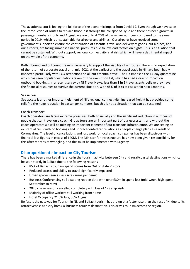The aviation sector is feeling the full force of the economic impact from Covid-19. Even though we have seen the introduction of routes to replace those lost through the collapse of FlyBe and there has been growth in passenger numbers in July and August, we are only at 20% of passenger numbers compared to the same period in 2019, which is unsustainable for airports and airlines. Our airports have received some government support to ensure the continuation of essential travel and delivery of goods, but airlines, and our airports, are facing immense financial pressures due to low load factors on flights. This is a situation that cannot be sustained. Without support, regional connectivity is at risk which will have a detrimental impact on the whole of the economy.

Both inbound and outbound travel is necessary to support the viability of air routes. There is no expectation of the return of corporate travel until mid-2021 at the earliest and the travel trade in NI have been badly impacted particularly with FCO restrictions on all but essential travel. The UK imposed the 14-day quarantine which has seen popular destinations taken off the exemption list, which has had a drastic impact on outbound bookings. In a recent survey by NI Travel News, **less than 1 in 5** travel agents believe they have the financial resources to survive the current situation, with **45% of jobs** at risk within next 6months.

#### Sea Access

relief to the huge reduction in passenger numbers, but this is not a situation that can be sustained. Sea access is another important element of NI's regional connectivity. Increased freight has provided some

#### Coach Transport

Coach operators are facing extreme pressures, both financially and the significant reduction in numbers of people that can travel on a coach. Group tours are an important part of our ecosystem, and without the coach operators we will be missing an important element of our transport infrastructure. We are seeing an existential crisis with no bookings and unprecedented cancellations as people change plans as a result of Coronavirus. The level of cancellations and lost work for local coach companies has been disastrous with financial loss figures in excess of £40M. The Minister for Infrastructure has now been given responsibility for this after months of wrangling, and this must be implemented with urgency.

#### **Disproportionate Impact on City Tourism**

There has been a marked difference in the tourism activity between City and rural/coastal destinations which can be seen starkly in Belfast due to the following reasons

- 85% of Belfast's tourism spend comes from Out of State Visitors
- Reduced access and ability to travel significantly impacted
- Urban spaces seen as less safe during pandemic
- Business Conferencing still awaiting reopen date with over £30m in spend lost (mid-week, high spend, September to May)
- 2020 cruise season cancelled completely with loss of 128 ship visits
- Majority of office workers still working from home
- Hotel Occupancy 21.5% July, 56% August

Belfast is the gateway for Tourism in NI, and Belfast tourism has grown at a faster rate than the rest of NI due to its attractiveness as a city break & business tourism destination. This drives tourism across the region.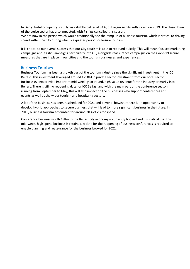In Derry, hotel occupancy for July was slightly better at 31%, but again significantly down on 2019. The close down of the cruise sector has also impacted, with 7 ships cancelled this season.

We are now in the period which would traditionally see the ramp up of business tourism, which is critical to driving spend within the city during what is a quieter period for leisure tourism.

It is critical to our overall success that our City tourism is able to rebound quickly. This will mean focused marketing campaigns about City Campaigns particularly into GB, alongside reassurance campaigns on the Covid-19 secure measures that are in place in our cities and the tourism businesses and experiences.

#### **Business Tourism**

Business Tourism has been a growth part of the tourism industry since the significant investment in the ICC Belfast. This investment leveraged around £250M in private sector investment from our hotel sector. Business events provide important mid-week, year-round, high value revenue for the industry primarily into Belfast. There is still no reopening date for ICC Belfast and with the main part of the conference season running from September to May, this will also impact on the businesses who support conferences and events as well as the wider tourism and hospitality sectors.

A lot of the business has been rescheduled for 2021 and beyond, however there is an opportunity to develop hybrid approaches to secure business that will lead to more significant business in the future. In 2018, business tourism accounted for around 20% of visitor spend.

Conference business worth £98m to the Belfast city economy is currently booked and it is critical that this mid-week, high spend business is retained. A date for the reopening of business conferences is required to enable planning and reassurance for the business booked for 2021.